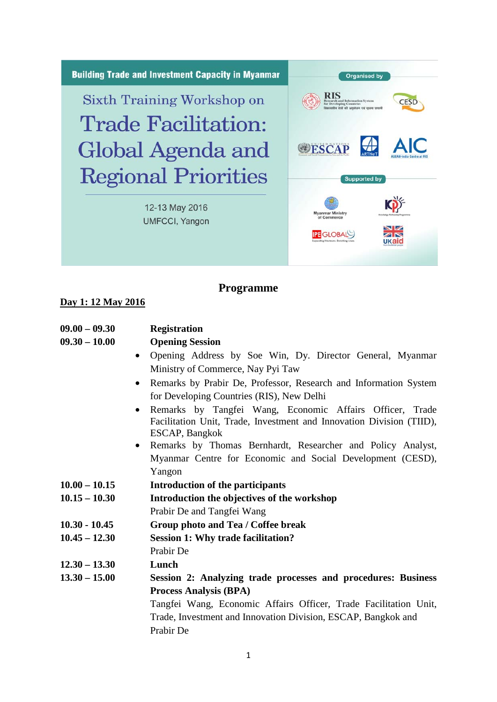

## **Programme**

## **Day 1: 12 May 2016**

| $09.00 - 09.30$ | <b>Registration</b>                                                  |
|-----------------|----------------------------------------------------------------------|
| $09.30 - 10.00$ | <b>Opening Session</b>                                               |
| $\bullet$       | Opening Address by Soe Win, Dy. Director General, Myanmar            |
|                 | Ministry of Commerce, Nay Pyi Taw                                    |
| $\bullet$       | Remarks by Prabir De, Professor, Research and Information System     |
|                 | for Developing Countries (RIS), New Delhi                            |
| $\bullet$       | Remarks by Tangfei Wang, Economic Affairs Officer, Trade             |
|                 | Facilitation Unit, Trade, Investment and Innovation Division (TIID), |
|                 | ESCAP, Bangkok                                                       |
| $\bullet$       | Remarks by Thomas Bernhardt, Researcher and Policy Analyst,          |
|                 | Myanmar Centre for Economic and Social Development (CESD),           |
|                 | Yangon                                                               |
| $10.00 - 10.15$ | Introduction of the participants                                     |
| $10.15 - 10.30$ | Introduction the objectives of the workshop                          |
|                 | Prabir De and Tangfei Wang                                           |
| $10.30 - 10.45$ | Group photo and Tea / Coffee break                                   |
| $10.45 - 12.30$ | <b>Session 1: Why trade facilitation?</b>                            |
|                 | Prabir De                                                            |
| $12.30 - 13.30$ | Lunch                                                                |
| $13.30 - 15.00$ | Session 2: Analyzing trade processes and procedures: Business        |
|                 | <b>Process Analysis (BPA)</b>                                        |
|                 | Tangfei Wang, Economic Affairs Officer, Trade Facilitation Unit,     |
|                 | Trade, Investment and Innovation Division, ESCAP, Bangkok and        |
|                 | Prabir De                                                            |